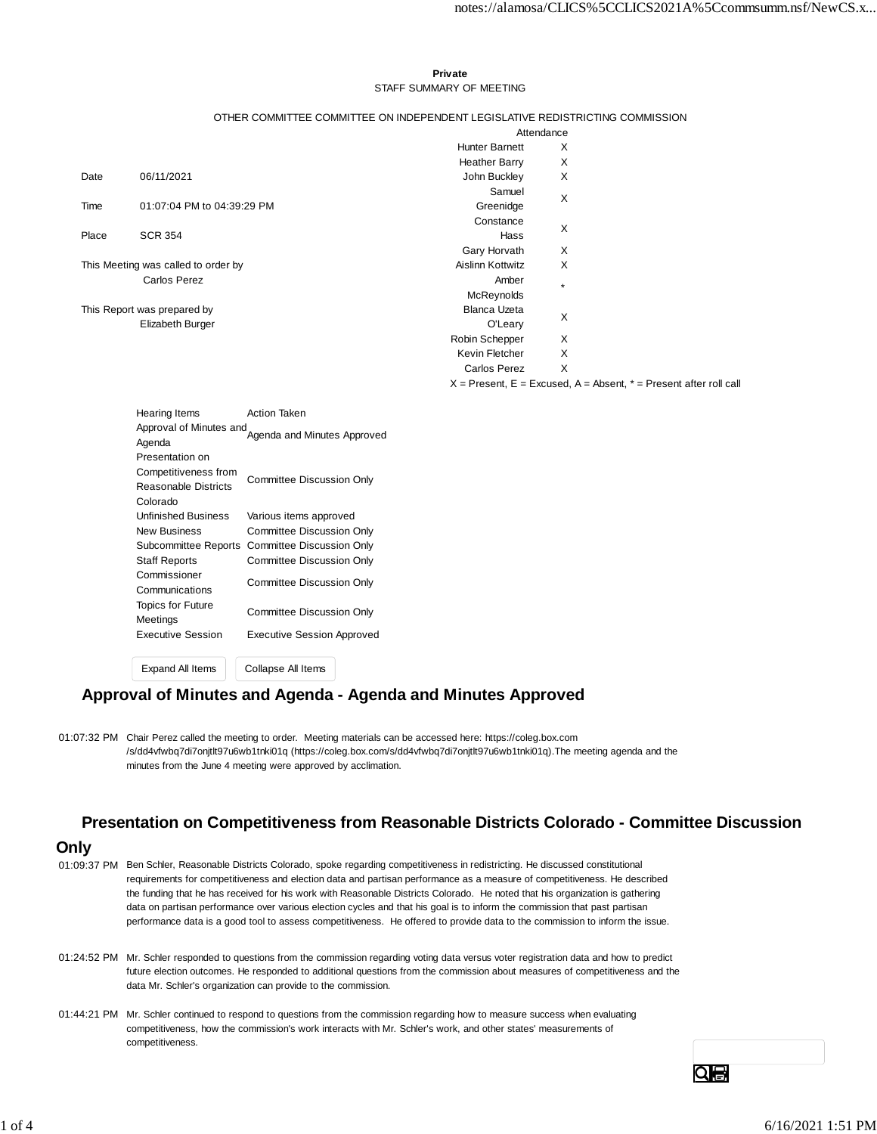#### **Private** STAFF SUMMARY OF MEETING

#### OTHER COMMITTEE COMMITTEE ON INDEPENDENT LEGISLATIVE REDISTRICTING COMMISSION

|                                     |                            | Attendance            |                                                                           |  |  |
|-------------------------------------|----------------------------|-----------------------|---------------------------------------------------------------------------|--|--|
|                                     |                            | <b>Hunter Barnett</b> | X                                                                         |  |  |
|                                     |                            | <b>Heather Barry</b>  | Х                                                                         |  |  |
| Date                                | 06/11/2021                 | John Buckley          | X                                                                         |  |  |
|                                     |                            | Samuel                | X                                                                         |  |  |
| Time                                | 01:07:04 PM to 04:39:29 PM | Greenidge             |                                                                           |  |  |
|                                     |                            | Constance             | X                                                                         |  |  |
| Place                               | <b>SCR 354</b>             | Hass                  |                                                                           |  |  |
|                                     |                            | Gary Horvath          | X                                                                         |  |  |
| This Meeting was called to order by |                            | Aislinn Kottwitz      | X                                                                         |  |  |
|                                     | <b>Carlos Perez</b>        | Amber                 | $\star$                                                                   |  |  |
|                                     |                            | <b>McReynolds</b>     |                                                                           |  |  |
| This Report was prepared by         |                            | <b>Blanca Uzeta</b>   | X                                                                         |  |  |
|                                     | Elizabeth Burger           | O'Leary               |                                                                           |  |  |
|                                     |                            | Robin Schepper        | X                                                                         |  |  |
|                                     |                            | Kevin Fletcher        | X                                                                         |  |  |
|                                     |                            | <b>Carlos Perez</b>   | X                                                                         |  |  |
|                                     |                            |                       | $X =$ Present, $E =$ Excused, $A =$ Absent, $* =$ Present after roll call |  |  |

Hearing Items **Action Taken** Approval of Minutes and<br>Agenda Presentation on Competitiveness from Reasonable Districts Colorado Committee Discussion Only Unfinished Business Various items approved New Business Committee Discussion Only Subcommittee Reports Committee Discussion Only Staff Reports Committee Discussion Only Commissioner Communications Committee Discussion Only Topics for Future Meetings Committee Discussion Only Executive Session Executive Session Approved

Expand All Items Collapse All Items

#### **Approval of Minutes and Agenda - Agenda and Minutes Approved**

01:07:32 PM Chair Perez called the meeting to order. Meeting materials can be accessed here: https://coleg.box.com /s/dd4vfwbq7di7onjtlt97u6wb1tnki01q (https://coleg.box.com/s/dd4vfwbq7di7onjtlt97u6wb1tnki01q).The meeting agenda and the minutes from the June 4 meeting were approved by acclimation.

### **Presentation on Competitiveness from Reasonable Districts Colorado - Committee Discussion**

#### **Only**

- 01:09:37 PM Ben Schler, Reasonable Districts Colorado, spoke regarding competitiveness in redistricting. He discussed constitutional requirements for competitiveness and election data and partisan performance as a measure of competitiveness. He described the funding that he has received for his work with Reasonable Districts Colorado. He noted that his organization is gathering data on partisan performance over various election cycles and that his goal is to inform the commission that past partisan performance data is a good tool to assess competitiveness. He offered to provide data to the commission to inform the issue.
- 01:24:52 PM Mr. Schler responded to questions from the commission regarding voting data versus voter registration data and how to predict future election outcomes. He responded to additional questions from the commission about measures of competitiveness and the data Mr. Schler's organization can provide to the commission.
- 01:44:21 PM Mr. Schler continued to respond to questions from the commission regarding how to measure success when evaluating competitiveness, how the commission's work interacts with Mr. Schler's work, and other states' measurements of competitiveness.

QIS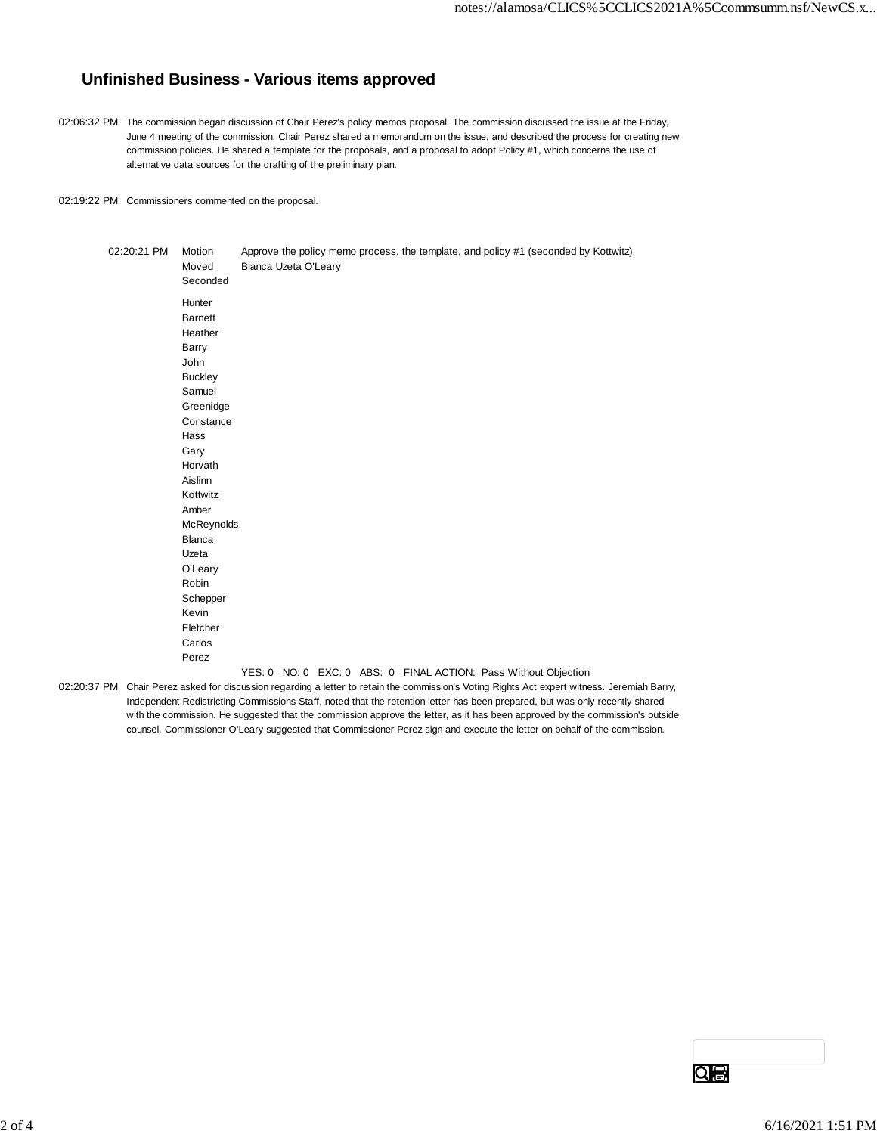# **Unfinished Business - Various items approved**

- 02:06:32 PM The commission began discussion of Chair Perez's policy memos proposal. The commission discussed the issue at the Friday, June 4 meeting of the commission. Chair Perez shared a memorandum on the issue, and described the process for creating new commission policies. He shared a template for the proposals, and a proposal to adopt Policy #1, which concerns the use of alternative data sources for the drafting of the preliminary plan.
- 02:19:22 PM Commissioners commented on the proposal.

| 02:20:21 PM | Motion         |                      |  |                                                                 | Approve the policy memo process, the template, and policy #1 (seconded by Kottwitz). |
|-------------|----------------|----------------------|--|-----------------------------------------------------------------|--------------------------------------------------------------------------------------|
|             | Moved          | Blanca Uzeta O'Leary |  |                                                                 |                                                                                      |
|             | Seconded       |                      |  |                                                                 |                                                                                      |
|             | Hunter         |                      |  |                                                                 |                                                                                      |
|             | <b>Barnett</b> |                      |  |                                                                 |                                                                                      |
|             | Heather        |                      |  |                                                                 |                                                                                      |
|             | Barry          |                      |  |                                                                 |                                                                                      |
|             | John           |                      |  |                                                                 |                                                                                      |
|             | <b>Buckley</b> |                      |  |                                                                 |                                                                                      |
|             | Samuel         |                      |  |                                                                 |                                                                                      |
|             | Greenidge      |                      |  |                                                                 |                                                                                      |
|             | Constance      |                      |  |                                                                 |                                                                                      |
|             | Hass           |                      |  |                                                                 |                                                                                      |
|             | Gary           |                      |  |                                                                 |                                                                                      |
|             | Horvath        |                      |  |                                                                 |                                                                                      |
|             | Aislinn        |                      |  |                                                                 |                                                                                      |
|             | Kottwitz       |                      |  |                                                                 |                                                                                      |
|             | Amber          |                      |  |                                                                 |                                                                                      |
|             | McReynolds     |                      |  |                                                                 |                                                                                      |
|             | Blanca         |                      |  |                                                                 |                                                                                      |
|             | Uzeta          |                      |  |                                                                 |                                                                                      |
|             | O'Leary        |                      |  |                                                                 |                                                                                      |
|             | Robin          |                      |  |                                                                 |                                                                                      |
|             | Schepper       |                      |  |                                                                 |                                                                                      |
|             | Kevin          |                      |  |                                                                 |                                                                                      |
|             | Fletcher       |                      |  |                                                                 |                                                                                      |
|             | Carlos         |                      |  |                                                                 |                                                                                      |
|             | Perez          |                      |  |                                                                 |                                                                                      |
|             |                |                      |  | YES: 0 NO: 0 EXC: 0 ABS: 0 FINAL ACTION: Pass Without Objection |                                                                                      |

02:20:37 PM Chair Perez asked for discussion regarding a letter to retain the commission's Voting Rights Act expert witness. Jeremiah Barry, Independent Redistricting Commissions Staff, noted that the retention letter has been prepared, but was only recently shared with the commission. He suggested that the commission approve the letter, as it has been approved by the commission's outside counsel. Commissioner O'Leary suggested that Commissioner Perez sign and execute the letter on behalf of the commission.

Qe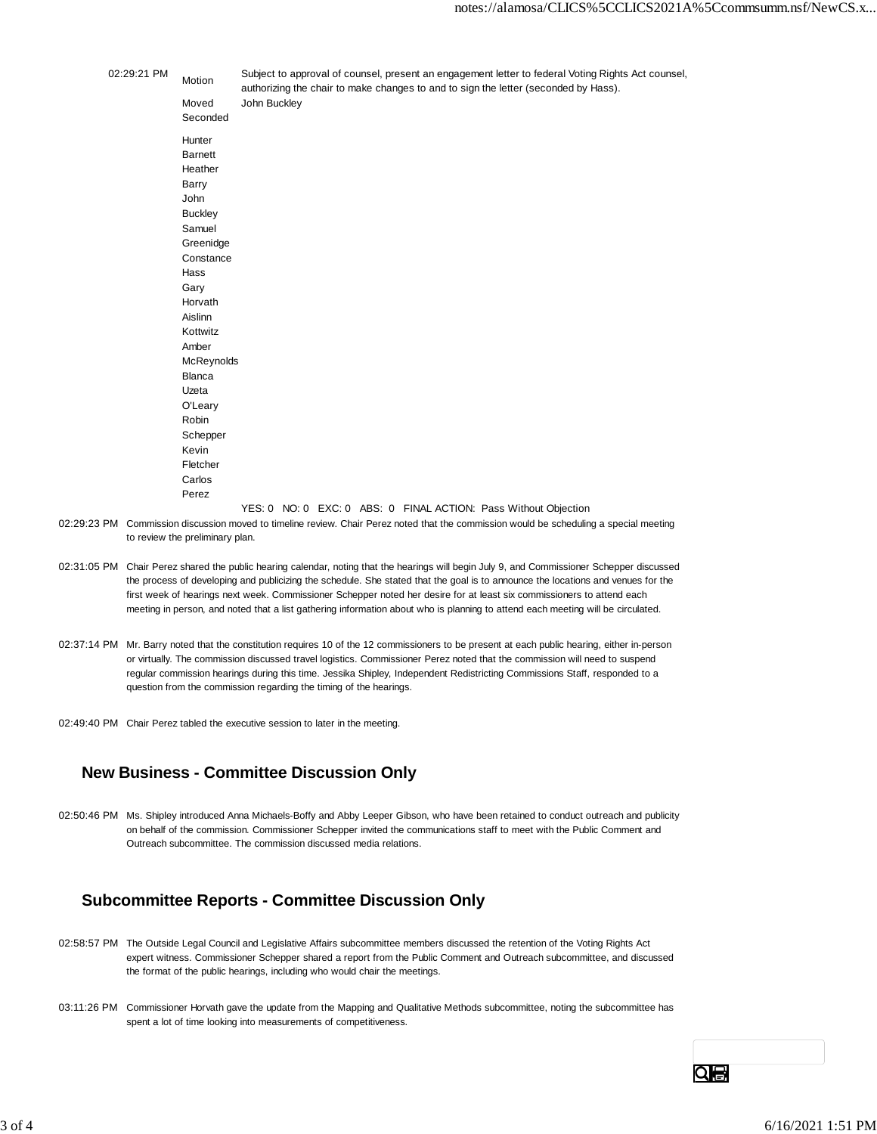| 02:29:21 PM | Motion         |              |  |  | Subject to approval of counsel, present an engagement letter to federal Voting Rights Act counsel,<br>authorizing the chair to make changes to and to sign the letter (seconded by Hass). |  |
|-------------|----------------|--------------|--|--|-------------------------------------------------------------------------------------------------------------------------------------------------------------------------------------------|--|
|             | Moved          | John Buckley |  |  |                                                                                                                                                                                           |  |
|             | Seconded       |              |  |  |                                                                                                                                                                                           |  |
|             | Hunter         |              |  |  |                                                                                                                                                                                           |  |
|             | Barnett        |              |  |  |                                                                                                                                                                                           |  |
|             | Heather        |              |  |  |                                                                                                                                                                                           |  |
|             | Barry          |              |  |  |                                                                                                                                                                                           |  |
|             | John           |              |  |  |                                                                                                                                                                                           |  |
|             | <b>Buckley</b> |              |  |  |                                                                                                                                                                                           |  |
|             | Samuel         |              |  |  |                                                                                                                                                                                           |  |
|             | Greenidge      |              |  |  |                                                                                                                                                                                           |  |
|             | Constance      |              |  |  |                                                                                                                                                                                           |  |
|             | Hass           |              |  |  |                                                                                                                                                                                           |  |
|             | Gary           |              |  |  |                                                                                                                                                                                           |  |
|             | Horvath        |              |  |  |                                                                                                                                                                                           |  |
|             | Aislinn        |              |  |  |                                                                                                                                                                                           |  |
|             | Kottwitz       |              |  |  |                                                                                                                                                                                           |  |
|             | Amber          |              |  |  |                                                                                                                                                                                           |  |
|             | McReynolds     |              |  |  |                                                                                                                                                                                           |  |
|             | Blanca         |              |  |  |                                                                                                                                                                                           |  |
|             | Uzeta          |              |  |  |                                                                                                                                                                                           |  |
|             | O'Leary        |              |  |  |                                                                                                                                                                                           |  |
|             | Robin          |              |  |  |                                                                                                                                                                                           |  |
|             | Schepper       |              |  |  |                                                                                                                                                                                           |  |
|             | Kevin          |              |  |  |                                                                                                                                                                                           |  |
|             | Fletcher       |              |  |  |                                                                                                                                                                                           |  |
|             | Carlos         |              |  |  |                                                                                                                                                                                           |  |
|             | Perez          |              |  |  |                                                                                                                                                                                           |  |
|             |                |              |  |  | YES: 0 NO: 0 EXC: 0 ABS: 0 FINAL ACTION: Pass Without Objection                                                                                                                           |  |

- 02:29:23 PM Commission discussion moved to timeline review. Chair Perez noted that the commission would be scheduling a special meeting to review the preliminary plan.
- 02:31:05 PM Chair Perez shared the public hearing calendar, noting that the hearings will begin July 9, and Commissioner Schepper discussed the process of developing and publicizing the schedule. She stated that the goal is to announce the locations and venues for the first week of hearings next week. Commissioner Schepper noted her desire for at least six commissioners to attend each meeting in person, and noted that a list gathering information about who is planning to attend each meeting will be circulated.
- 02:37:14 PM Mr. Barry noted that the constitution requires 10 of the 12 commissioners to be present at each public hearing, either in-person or virtually. The commission discussed travel logistics. Commissioner Perez noted that the commission will need to suspend regular commission hearings during this time. Jessika Shipley, Independent Redistricting Commissions Staff, responded to a question from the commission regarding the timing of the hearings.
- 02:49:40 PM Chair Perez tabled the executive session to later in the meeting.

## **New Business - Committee Discussion Only**

02:50:46 PM Ms. Shipley introduced Anna Michaels-Boffy and Abby Leeper Gibson, who have been retained to conduct outreach and publicity on behalf of the commission. Commissioner Schepper invited the communications staff to meet with the Public Comment and Outreach subcommittee. The commission discussed media relations.

## **Subcommittee Reports - Committee Discussion Only**

- 02:58:57 PM The Outside Legal Council and Legislative Affairs subcommittee members discussed the retention of the Voting Rights Act expert witness. Commissioner Schepper shared a report from the Public Comment and Outreach subcommittee, and discussed the format of the public hearings, including who would chair the meetings.
- 03:11:26 PM Commissioner Horvath gave the update from the Mapping and Qualitative Methods subcommittee, noting the subcommittee has spent a lot of time looking into measurements of competitiveness.

Qe